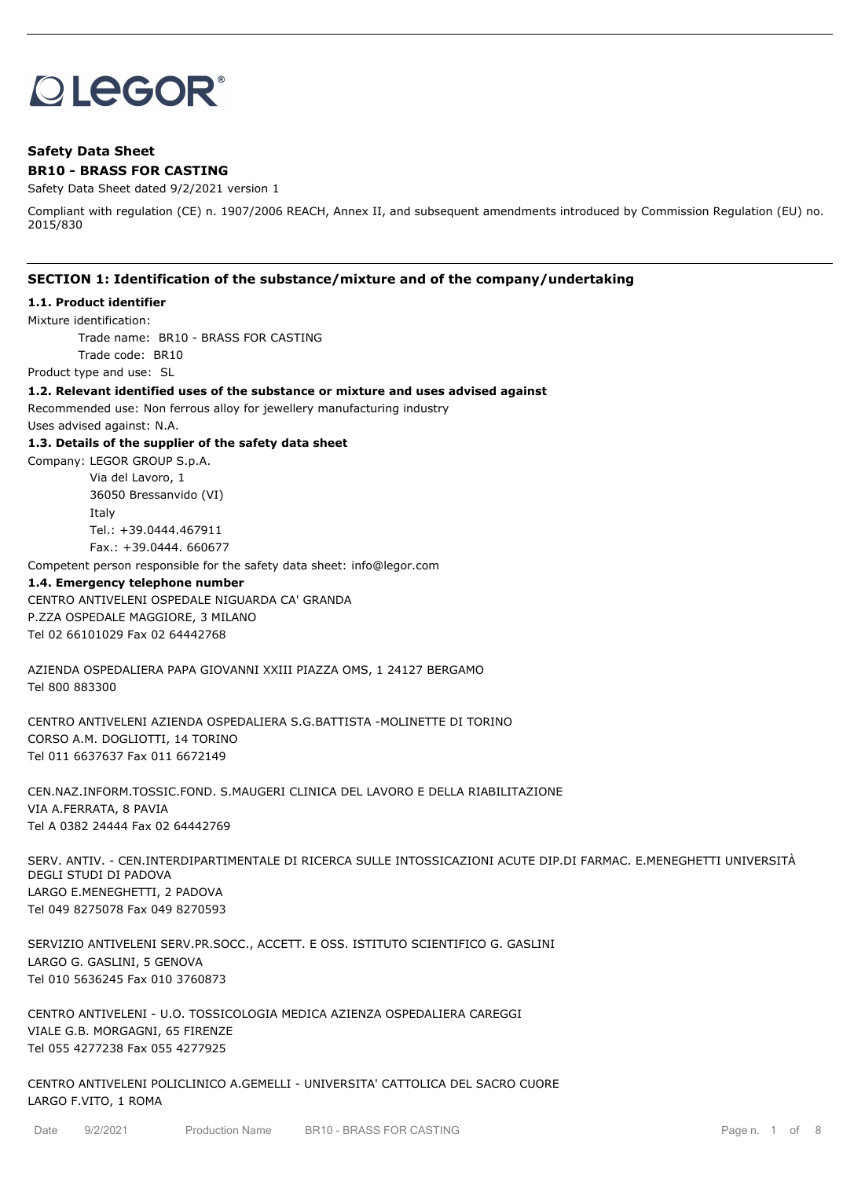# **OLEGOR®**

# **Safety Data Sheet BR10 - BRASS FOR CASTING**

#### Safety Data Sheet dated 9/2/2021 version 1

Compliant with regulation (CE) n. 1907/2006 REACH, Annex II, and subsequent amendments introduced by Commission Regulation (EU) no. 2015/830

## **SECTION 1: Identification of the substance/mixture and of the company/undertaking**

#### **1.1. Product identifier**

Mixture identification:

Trade name: BR10 - BRASS FOR CASTING

Trade code: BR10

Product type and use: SL

## **1.2. Relevant identified uses of the substance or mixture and uses advised against**

Recommended use: Non ferrous alloy for jewellery manufacturing industry

Uses advised against: N.A.

#### **1.3. Details of the supplier of the safety data sheet**

Company: LEGOR GROUP S.p.A. Via del Lavoro, 1 36050 Bressanvido (VI) Italy Tel.: +39.0444.467911 Fax.: +39.0444. 660677

Competent person responsible for the safety data sheet: info@legor.com

#### **1.4. Emergency telephone number**

CENTRO ANTIVELENI OSPEDALE NIGUARDA CA' GRANDA P.ZZA OSPEDALE MAGGIORE, 3 MILANO Tel 02 66101029 Fax 02 64442768

AZIENDA OSPEDALIERA PAPA GIOVANNI XXIII PIAZZA OMS, 1 24127 BERGAMO Tel 800 883300

CENTRO ANTIVELENI AZIENDA OSPEDALIERA S.G.BATTISTA -MOLINETTE DI TORINO CORSO A.M. DOGLIOTTI, 14 TORINO Tel 011 6637637 Fax 011 6672149

CEN.NAZ.INFORM.TOSSIC.FOND. S.MAUGERI CLINICA DEL LAVORO E DELLA RIABILITAZIONE VIA A.FERRATA, 8 PAVIA Tel A 0382 24444 Fax 02 64442769

SERV. ANTIV. - CEN.INTERDIPARTIMENTALE DI RICERCA SULLE INTOSSICAZIONI ACUTE DIP.DI FARMAC. E.MENEGHETTI UNIVERSITÀ DEGLI STUDI DI PADOVA LARGO E.MENEGHETTI, 2 PADOVA Tel 049 8275078 Fax 049 8270593

SERVIZIO ANTIVELENI SERV.PR.SOCC., ACCETT. E OSS. ISTITUTO SCIENTIFICO G. GASLINI LARGO G. GASLINI, 5 GENOVA Tel 010 5636245 Fax 010 3760873

CENTRO ANTIVELENI - U.O. TOSSICOLOGIA MEDICA AZIENZA OSPEDALIERA CAREGGI VIALE G.B. MORGAGNI, 65 FIRENZE Tel 055 4277238 Fax 055 4277925

CENTRO ANTIVELENI POLICLINICO A.GEMELLI - UNIVERSITA' CATTOLICA DEL SACRO CUORE LARGO F.VITO, 1 ROMA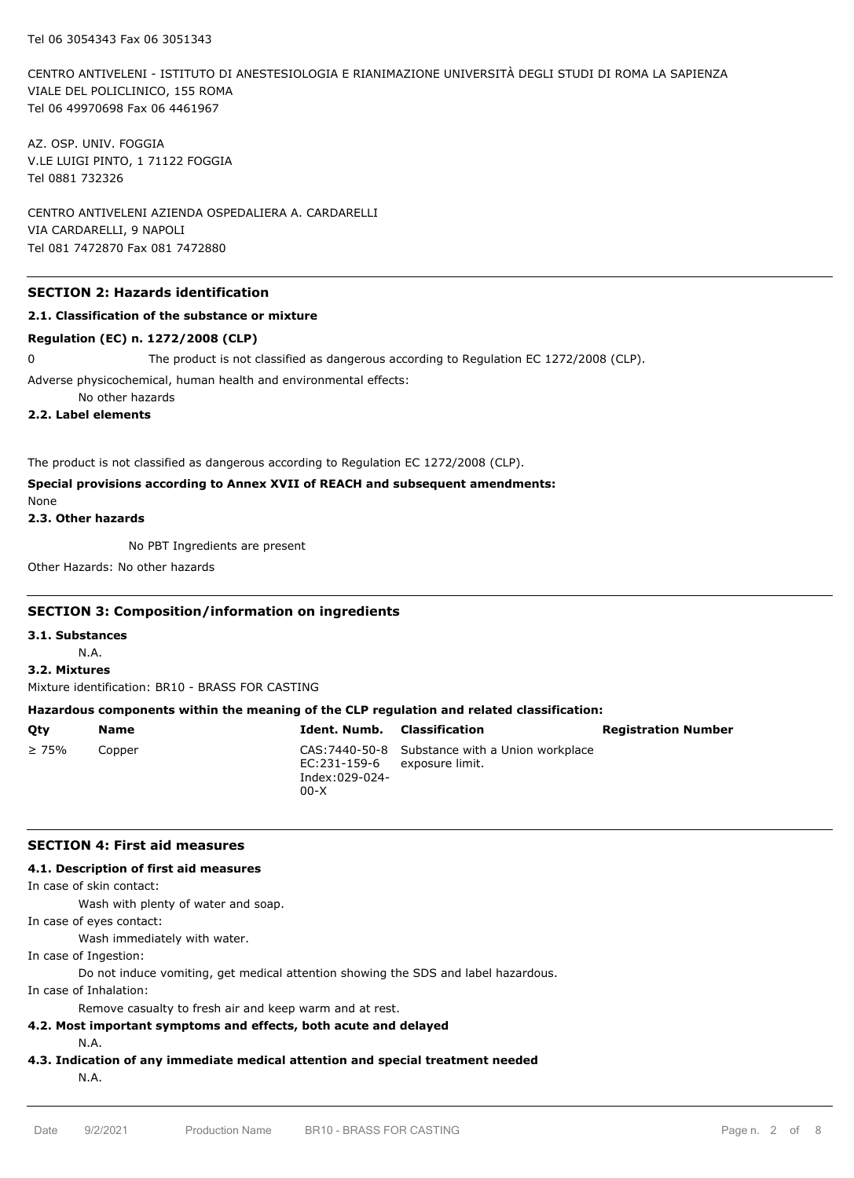CENTRO ANTIVELENI - ISTITUTO DI ANESTESIOLOGIA E RIANIMAZIONE UNIVERSITÀ DEGLI STUDI DI ROMA LA SAPIENZA VIALE DEL POLICLINICO, 155 ROMA Tel 06 49970698 Fax 06 4461967

AZ. OSP. UNIV. FOGGIA V.LE LUIGI PINTO, 1 71122 FOGGIA Tel 0881 732326

CENTRO ANTIVELENI AZIENDA OSPEDALIERA A. CARDARELLI VIA CARDARELLI, 9 NAPOLI Tel 081 7472870 Fax 081 7472880

## **SECTION 2: Hazards identification**

#### **2.1. Classification of the substance or mixture**

#### **Regulation (EC) n. 1272/2008 (CLP)**

0 The product is not classified as dangerous according to Regulation EC 1272/2008 (CLP).

Adverse physicochemical, human health and environmental effects:

No other hazards

**2.2. Label elements**

The product is not classified as dangerous according to Regulation EC 1272/2008 (CLP).

## **Special provisions according to Annex XVII of REACH and subsequent amendments:**

None

#### **2.3. Other hazards**

No PBT Ingredients are present

Other Hazards: No other hazards

#### **SECTION 3: Composition/information on ingredients**

**3.1. Substances**

N.A.

**3.2. Mixtures**

Mixture identification: BR10 - BRASS FOR CASTING

## **Hazardous components within the meaning of the CLP regulation and related classification:**

| Qty         | Name   |                          | <b>Ident. Numb.</b> Classification                                              | <b>Registration Number</b> |
|-------------|--------|--------------------------|---------------------------------------------------------------------------------|----------------------------|
| $\geq 75\%$ | Copper | Index:029-024-<br>$00-X$ | CAS: 7440-50-8 Substance with a Union workplace<br>EC:231-159-6 exposure limit. |                            |

#### **SECTION 4: First aid measures**

## **4.1. Description of first aid measures**

In case of skin contact:

Wash with plenty of water and soap.

In case of eyes contact:

Wash immediately with water.

In case of Ingestion:

Do not induce vomiting, get medical attention showing the SDS and label hazardous.

In case of Inhalation:

Remove casualty to fresh air and keep warm and at rest.

- **4.2. Most important symptoms and effects, both acute and delayed** N.A.
- **4.3. Indication of any immediate medical attention and special treatment needed**

N.A.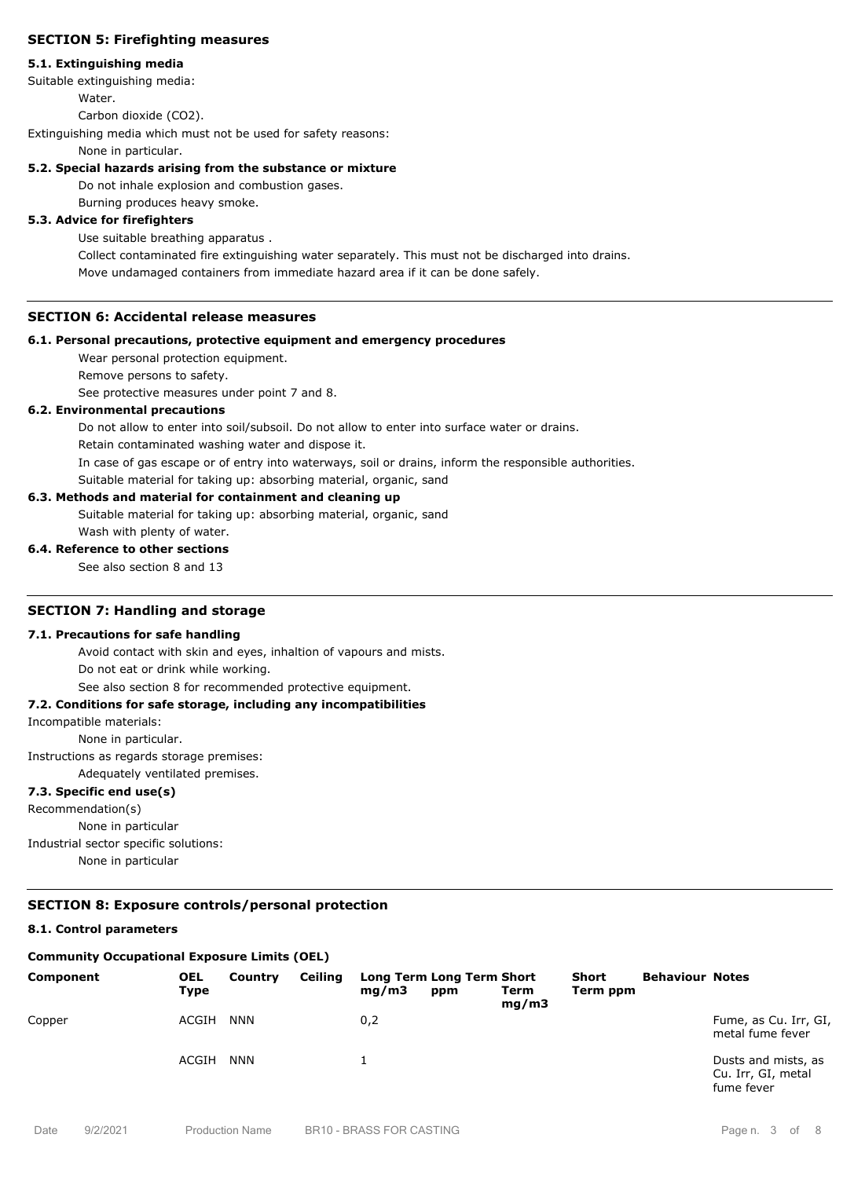## **SECTION 5: Firefighting measures**

#### **5.1. Extinguishing media**

Suitable extinguishing media:

Water.

Carbon dioxide (CO2).

Extinguishing media which must not be used for safety reasons:

None in particular.

#### **5.2. Special hazards arising from the substance or mixture**

Do not inhale explosion and combustion gases.

Burning produces heavy smoke.

## **5.3. Advice for firefighters**

Use suitable breathing apparatus .

Collect contaminated fire extinguishing water separately. This must not be discharged into drains. Move undamaged containers from immediate hazard area if it can be done safely.

## **SECTION 6: Accidental release measures**

#### **6.1. Personal precautions, protective equipment and emergency procedures**

Wear personal protection equipment.

Remove persons to safety.

See protective measures under point 7 and 8.

#### **6.2. Environmental precautions**

Do not allow to enter into soil/subsoil. Do not allow to enter into surface water or drains.

Retain contaminated washing water and dispose it.

In case of gas escape or of entry into waterways, soil or drains, inform the responsible authorities.

Suitable material for taking up: absorbing material, organic, sand

## **6.3. Methods and material for containment and cleaning up**

Suitable material for taking up: absorbing material, organic, sand Wash with plenty of water.

#### **6.4. Reference to other sections**

See also section 8 and 13

#### **SECTION 7: Handling and storage**

#### **7.1. Precautions for safe handling**

Avoid contact with skin and eyes, inhaltion of vapours and mists. Do not eat or drink while working.

See also section 8 for recommended protective equipment.

## **7.2. Conditions for safe storage, including any incompatibilities**

#### Incompatible materials:

None in particular.

Instructions as regards storage premises:

Adequately ventilated premises.

# **7.3. Specific end use(s)**

Recommendation(s)

None in particular Industrial sector specific solutions: None in particular

## **SECTION 8: Exposure controls/personal protection**

# **8.1. Control parameters**

# **Community Occupational Exposure Limits (OEL)**

| Component | <b>OEL</b><br>Type | Country    | Ceiling | mq/m3 | Long Term Long Term Short<br>ppm | Term<br>mq/m3 | <b>Short</b><br>Term ppm | <b>Behaviour Notes</b> |                                                         |
|-----------|--------------------|------------|---------|-------|----------------------------------|---------------|--------------------------|------------------------|---------------------------------------------------------|
| Copper    | ACGIH              | <b>NNN</b> |         | 0,2   |                                  |               |                          |                        | Fume, as Cu. Irr, GI,<br>metal fume fever               |
|           | ACGIH              | <b>NNN</b> |         |       |                                  |               |                          |                        | Dusts and mists, as<br>Cu. Irr, GI, metal<br>fume fever |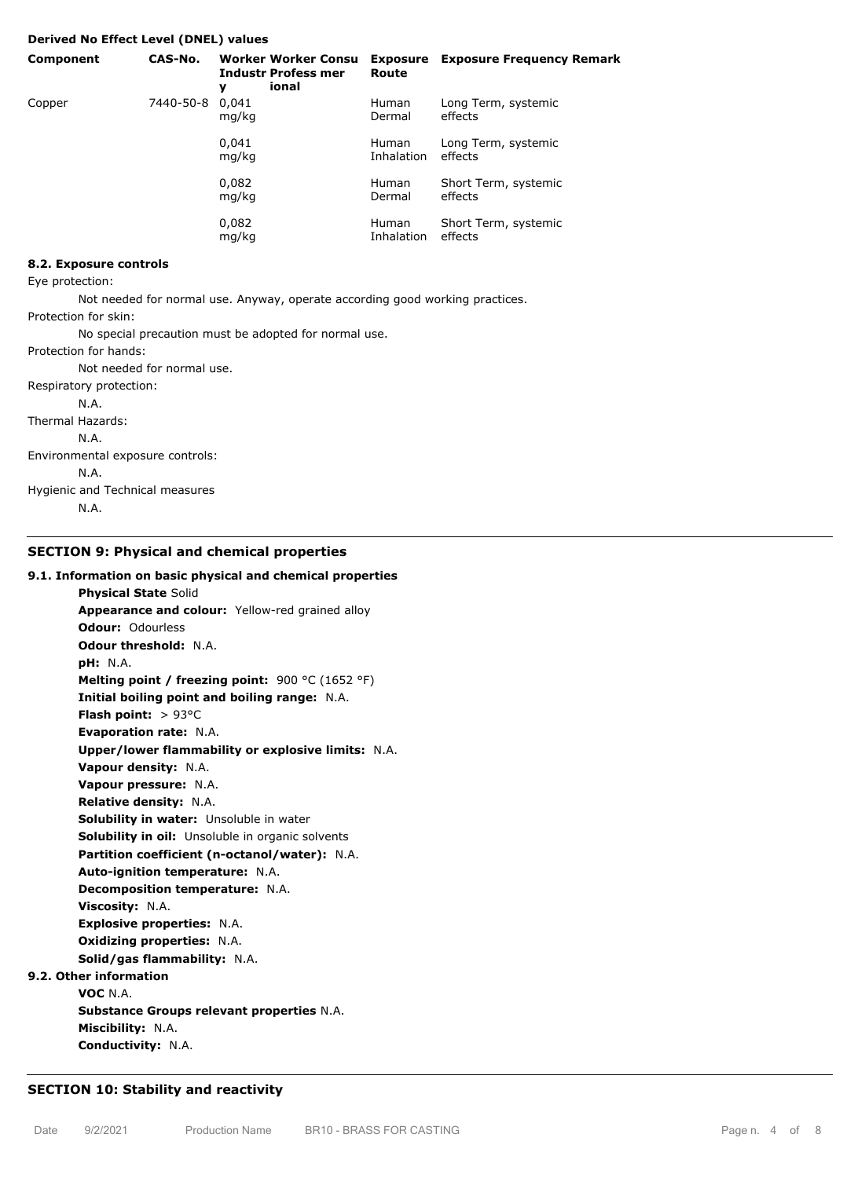#### **Derived No Effect Level (DNEL) values**

| Component | CAS-No.   | y              | <b>Worker Worker Consu</b><br><b>Industr Profess mer</b><br>ional | Route                      | <b>Exposure</b> Exposure Frequency Remark |
|-----------|-----------|----------------|-------------------------------------------------------------------|----------------------------|-------------------------------------------|
| Copper    | 7440-50-8 | 0.041<br>mg/kg |                                                                   | <b>Human</b><br>Dermal     | Long Term, systemic<br>effects            |
|           |           | 0.041<br>mg/kg |                                                                   | <b>Human</b><br>Inhalation | Long Term, systemic<br>effects            |
|           |           | 0,082<br>mg/kg |                                                                   | <b>Human</b><br>Dermal     | Short Term, systemic<br>effects           |
|           |           | 0,082<br>mg/kg |                                                                   | <b>Human</b><br>Inhalation | Short Term, systemic<br>effects           |

# **8.2. Exposure controls**

Eye protection:

Not needed for normal use. Anyway, operate according good working practices. Protection for skin:

No special precaution must be adopted for normal use.

Protection for hands: Not needed for normal use. Respiratory protection: N.A. Thermal Hazards: N.A. Environmental exposure controls: N.A. Hygienic and Technical measures N.A.

#### **SECTION 9: Physical and chemical properties**

#### **9.1. Information on basic physical and chemical properties**

**Physical State** Solid **Appearance and colour:** Yellow-red grained alloy **Odour:** Odourless **Odour threshold:** N.A. **pH:** N.A. **Melting point / freezing point:** 900 °C (1652 °F) **Initial boiling point and boiling range:** N.A. **Flash point:** > 93°C **Evaporation rate:** N.A. **Upper/lower flammability or explosive limits:** N.A. **Vapour density:** N.A. **Vapour pressure:** N.A. **Relative density:** N.A. **Solubility in water:** Unsoluble in water **Solubility in oil:** Unsoluble in organic solvents **Partition coefficient (n-octanol/water):** N.A. **Auto-ignition temperature:** N.A. **Decomposition temperature:** N.A. **Viscosity:** N.A. **Explosive properties:** N.A. **Oxidizing properties:** N.A. **Solid/gas flammability:** N.A. **9.2. Other information VOC** N.A. **Substance Groups relevant properties** N.A. **Miscibility:** N.A.

## **SECTION 10: Stability and reactivity**

**Conductivity:** N.A.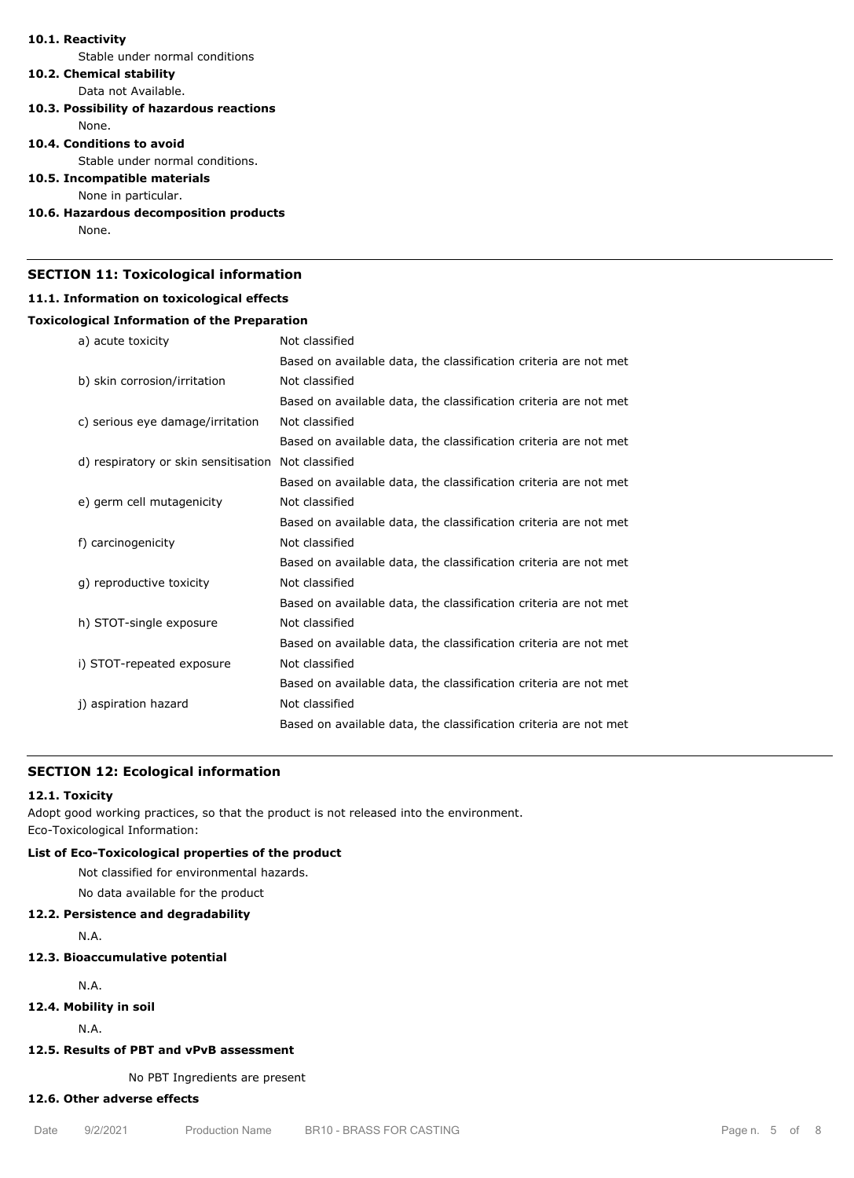### **10.1. Reactivity**

Stable under normal conditions

# **10.2. Chemical stability**

Data not Available.

**10.3. Possibility of hazardous reactions** None.

## **10.4. Conditions to avoid**

Stable under normal conditions.

## **10.5. Incompatible materials**

None in particular.

# **10.6. Hazardous decomposition products**

None.

## **SECTION 11: Toxicological information**

#### **11.1. Information on toxicological effects**

## **Toxicological Information of the Preparation**

| a) acute toxicity                    | Not classified                                                   |
|--------------------------------------|------------------------------------------------------------------|
|                                      | Based on available data, the classification criteria are not met |
| b) skin corrosion/irritation         | Not classified                                                   |
|                                      | Based on available data, the classification criteria are not met |
| c) serious eye damage/irritation     | Not classified                                                   |
|                                      | Based on available data, the classification criteria are not met |
| d) respiratory or skin sensitisation | Not classified                                                   |
|                                      | Based on available data, the classification criteria are not met |
| e) germ cell mutagenicity            | Not classified                                                   |
|                                      | Based on available data, the classification criteria are not met |
| f) carcinogenicity                   | Not classified                                                   |
|                                      | Based on available data, the classification criteria are not met |
| g) reproductive toxicity             | Not classified                                                   |
|                                      | Based on available data, the classification criteria are not met |
| h) STOT-single exposure              | Not classified                                                   |
|                                      | Based on available data, the classification criteria are not met |
| i) STOT-repeated exposure            | Not classified                                                   |
|                                      | Based on available data, the classification criteria are not met |
| j) aspiration hazard                 | Not classified                                                   |
|                                      | Based on available data, the classification criteria are not met |
|                                      |                                                                  |

# **SECTION 12: Ecological information**

## **12.1. Toxicity**

Adopt good working practices, so that the product is not released into the environment. Eco-Toxicological Information:

## **List of Eco-Toxicological properties of the product**

Not classified for environmental hazards.

No data available for the product

## **12.2. Persistence and degradability**

N.A.

#### **12.3. Bioaccumulative potential**

N.A.

## **12.4. Mobility in soil**

N.A.

# **12.5. Results of PBT and vPvB assessment**

# No PBT Ingredients are present

#### **12.6. Other adverse effects**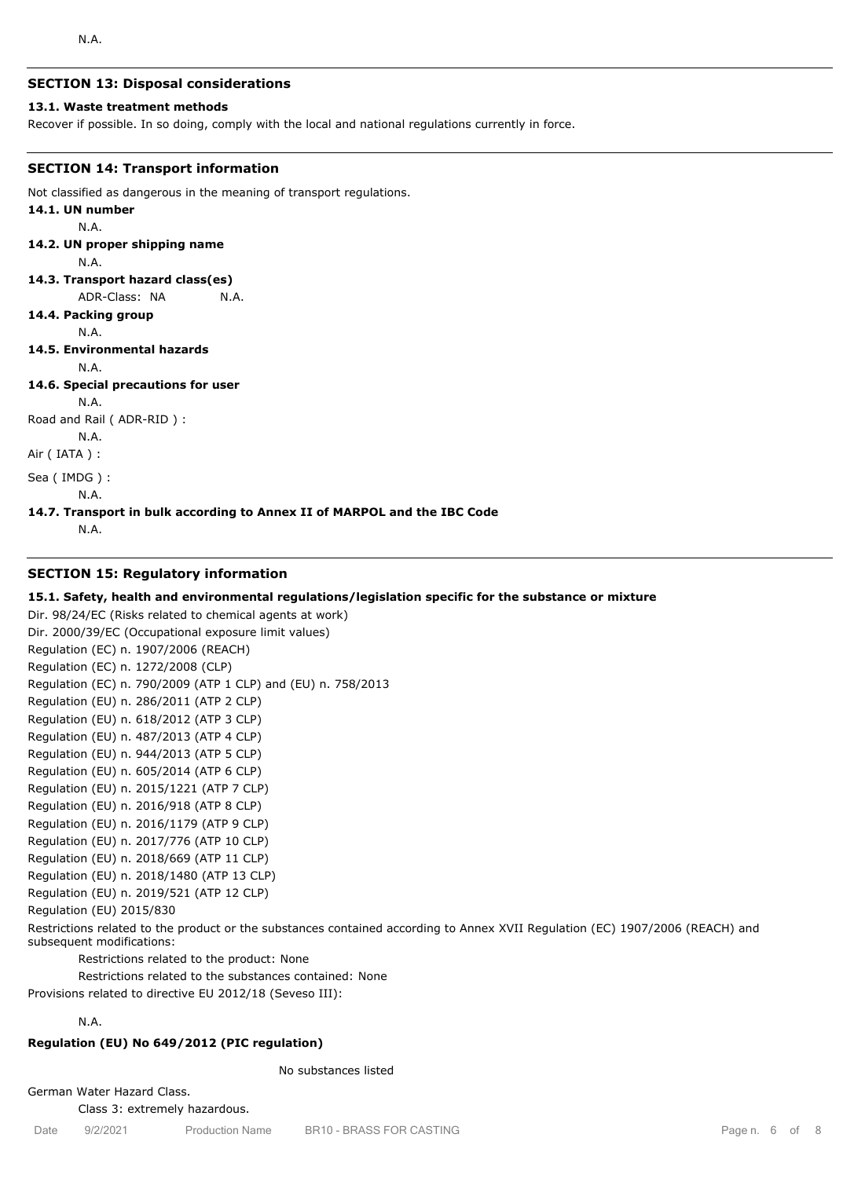## **SECTION 13: Disposal considerations**

#### **13.1. Waste treatment methods**

Recover if possible. In so doing, comply with the local and national regulations currently in force.

#### **SECTION 14: Transport information**

Not classified as dangerous in the meaning of transport regulations.

#### **14.1. UN number** N.A.

**14.2. UN proper shipping name**

N.A.

**14.3. Transport hazard class(es)**

ADR-Class: NA N.A.

**14.4. Packing group**

N.A.

## **14.5. Environmental hazards**

```
N.A.
```
## **14.6. Special precautions for user**

N.A.

Road and Rail ( ADR-RID ) :

N.A. Air ( IATA ) :

Sea ( IMDG ) :

```
N.A.
```
#### **14.7. Transport in bulk according to Annex II of MARPOL and the IBC Code**

N.A.

## **SECTION 15: Regulatory information**

## **15.1. Safety, health and environmental regulations/legislation specific for the substance or mixture**

Dir. 98/24/EC (Risks related to chemical agents at work) Dir. 2000/39/EC (Occupational exposure limit values) Regulation (EC) n. 1907/2006 (REACH) Regulation (EC) n. 1272/2008 (CLP) Regulation (EC) n. 790/2009 (ATP 1 CLP) and (EU) n. 758/2013 Regulation (EU) n. 286/2011 (ATP 2 CLP) Regulation (EU) n. 618/2012 (ATP 3 CLP) Regulation (EU) n. 487/2013 (ATP 4 CLP) Regulation (EU) n. 944/2013 (ATP 5 CLP) Regulation (EU) n. 605/2014 (ATP 6 CLP) Regulation (EU) n. 2015/1221 (ATP 7 CLP) Regulation (EU) n. 2016/918 (ATP 8 CLP) Regulation (EU) n. 2016/1179 (ATP 9 CLP) Regulation (EU) n. 2017/776 (ATP 10 CLP) Regulation (EU) n. 2018/669 (ATP 11 CLP) Regulation (EU) n. 2018/1480 (ATP 13 CLP) Regulation (EU) n. 2019/521 (ATP 12 CLP) Regulation (EU) 2015/830 Restrictions related to the product or the substances contained according to Annex XVII Regulation (EC) 1907/2006 (REACH) and subsequent modifications:

Restrictions related to the product: None

Restrictions related to the substances contained: None

Provisions related to directive EU 2012/18 (Seveso III):

## N.A.

## **Regulation (EU) No 649/2012 (PIC regulation)**

No substances listed

German Water Hazard Class. Class 3: extremely hazardous.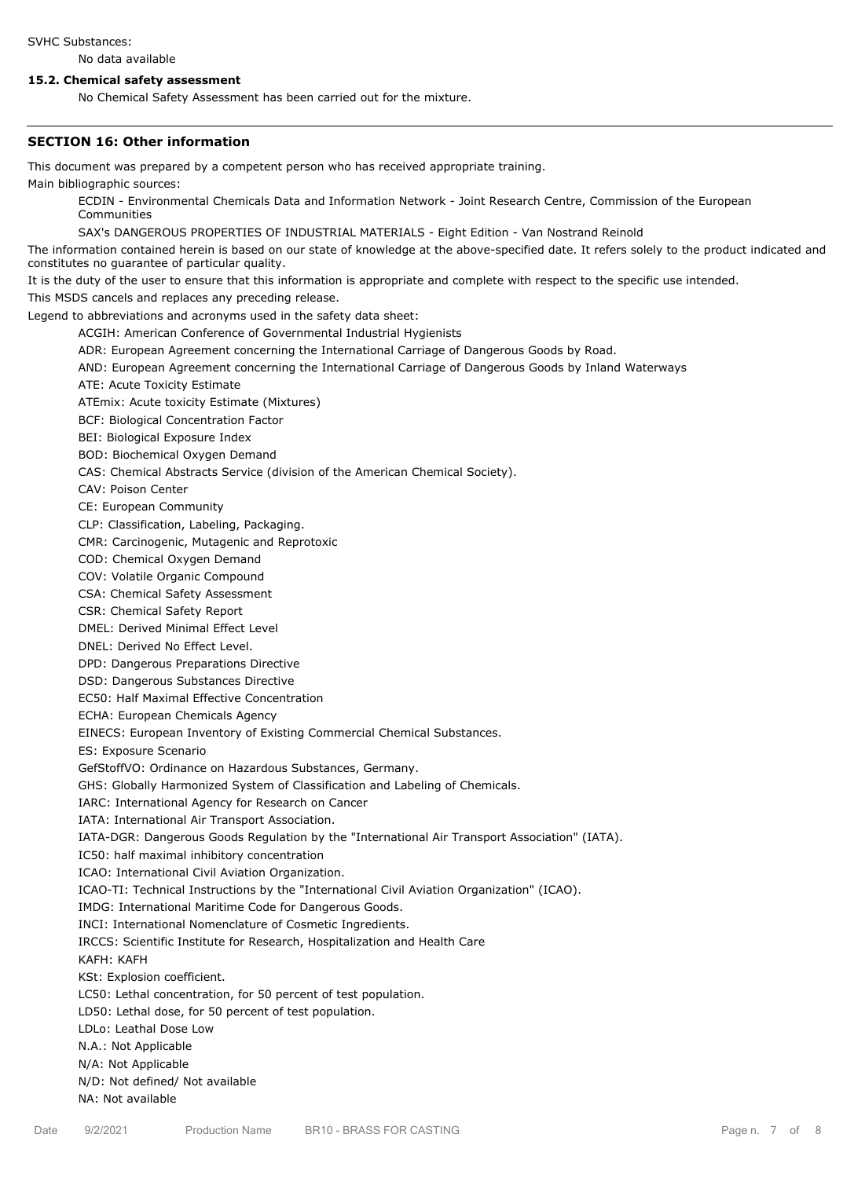#### SVHC Substances:

No data available

#### **15.2. Chemical safety assessment**

No Chemical Safety Assessment has been carried out for the mixture.

#### **SECTION 16: Other information**

This document was prepared by a competent person who has received appropriate training.

Main bibliographic sources:

ECDIN - Environmental Chemicals Data and Information Network - Joint Research Centre, Commission of the European Communities

SAX's DANGEROUS PROPERTIES OF INDUSTRIAL MATERIALS - Eight Edition - Van Nostrand Reinold

The information contained herein is based on our state of knowledge at the above-specified date. It refers solely to the product indicated and constitutes no guarantee of particular quality.

It is the duty of the user to ensure that this information is appropriate and complete with respect to the specific use intended.

This MSDS cancels and replaces any preceding release.

Legend to abbreviations and acronyms used in the safety data sheet:

ACGIH: American Conference of Governmental Industrial Hygienists

- ADR: European Agreement concerning the International Carriage of Dangerous Goods by Road.
- AND: European Agreement concerning the International Carriage of Dangerous Goods by Inland Waterways
- ATE: Acute Toxicity Estimate

ATEmix: Acute toxicity Estimate (Mixtures)

BCF: Biological Concentration Factor

BEI: Biological Exposure Index

BOD: Biochemical Oxygen Demand

CAS: Chemical Abstracts Service (division of the American Chemical Society).

CAV: Poison Center

CE: European Community

CLP: Classification, Labeling, Packaging.

CMR: Carcinogenic, Mutagenic and Reprotoxic

COD: Chemical Oxygen Demand

COV: Volatile Organic Compound

CSA: Chemical Safety Assessment

CSR: Chemical Safety Report

DMEL: Derived Minimal Effect Level

DNEL: Derived No Effect Level.

DPD: Dangerous Preparations Directive

DSD: Dangerous Substances Directive

EC50: Half Maximal Effective Concentration

ECHA: European Chemicals Agency

EINECS: European Inventory of Existing Commercial Chemical Substances.

ES: Exposure Scenario

GefStoffVO: Ordinance on Hazardous Substances, Germany.

GHS: Globally Harmonized System of Classification and Labeling of Chemicals.

IARC: International Agency for Research on Cancer

IATA: International Air Transport Association.

IATA-DGR: Dangerous Goods Regulation by the "International Air Transport Association" (IATA).

IC50: half maximal inhibitory concentration

ICAO: International Civil Aviation Organization.

ICAO-TI: Technical Instructions by the "International Civil Aviation Organization" (ICAO).

IMDG: International Maritime Code for Dangerous Goods.

INCI: International Nomenclature of Cosmetic Ingredients.

IRCCS: Scientific Institute for Research, Hospitalization and Health Care

KAFH: KAFH

KSt: Explosion coefficient.

LC50: Lethal concentration, for 50 percent of test population.

LD50: Lethal dose, for 50 percent of test population.

LDLo: Leathal Dose Low

N.A.: Not Applicable

N/A: Not Applicable

N/D: Not defined/ Not available

NA: Not available